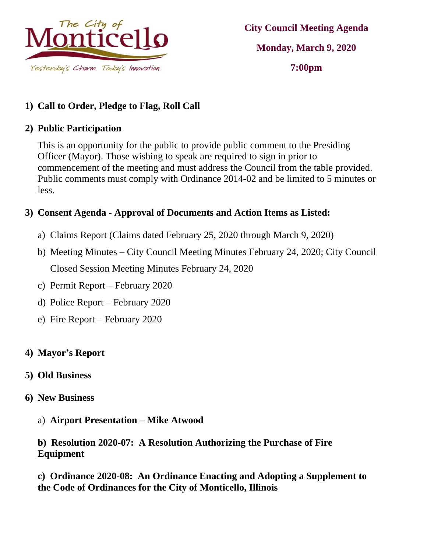

**City Council Meeting Agenda Monday, March 9, 2020 7:00pm**

# **1) Call to Order, Pledge to Flag, Roll Call**

#### **2) Public Participation**

This is an opportunity for the public to provide public comment to the Presiding Officer (Mayor). Those wishing to speak are required to sign in prior to commencement of the meeting and must address the Council from the table provided. Public comments must comply with Ordinance 2014-02 and be limited to 5 minutes or less.

## **3) Consent Agenda - Approval of Documents and Action Items as Listed:**

- a) Claims Report (Claims dated February 25, 2020 through March 9, 2020)
- b) Meeting Minutes City Council Meeting Minutes February 24, 2020; City Council Closed Session Meeting Minutes February 24, 2020
- c) Permit Report February 2020
- d) Police Report February 2020
- e) Fire Report February 2020

### **4) Mayor's Report**

### **5) Old Business**

- **6) New Business**
	- a) **Airport Presentation – Mike Atwood**

#### **b) Resolution 2020-07: A Resolution Authorizing the Purchase of Fire Equipment**

**c) Ordinance 2020-08: An Ordinance Enacting and Adopting a Supplement to the Code of Ordinances for the City of Monticello, Illinois**